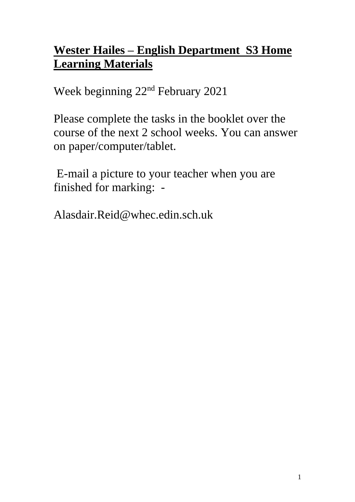### **Wester Hailes – English Department S3 Home Learning Materials**

Week beginning 22nd February 2021

Please complete the tasks in the booklet over the course of the next 2 school weeks. You can answer on paper/computer/tablet.

E-mail a picture to your teacher when you are finished for marking: -

Alasdair.Reid@whec.edin.sch.uk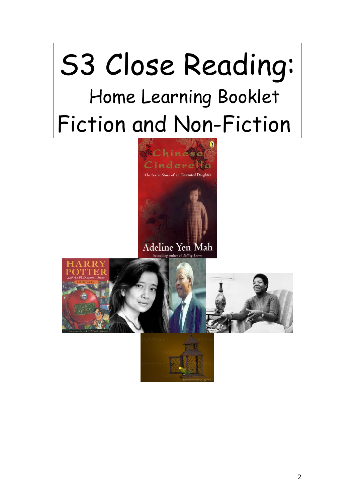# S3 Close Reading: Home Learning Booklet Fiction and Non-Fiction



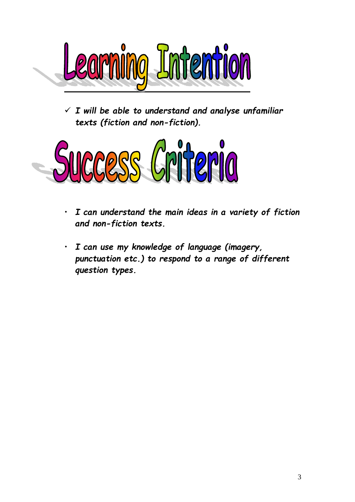

✓ *I will be able to understand and analyse unfamiliar texts (fiction and non-fiction).*



- *I can understand the main ideas in a variety of fiction and non-fiction texts.*
- *I can use my knowledge of language (imagery, punctuation etc.) to respond to a range of different question types.*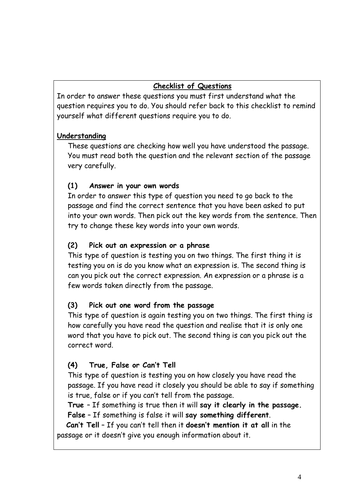### **Checklist of Questions**

In order to answer these questions you must first understand what the question requires you to do. You should refer back to this checklist to remind yourself what different questions require you to do.

### **Understanding**

These questions are checking how well you have understood the passage. You must read both the question and the relevant section of the passage very carefully.

### **(1) Answer in your own words**

In order to answer this type of question you need to go back to the passage and find the correct sentence that you have been asked to put into your own words. Then pick out the key words from the sentence. Then try to change these key words into your own words.

### **(2) Pick out an expression or a phrase**

This type of question is testing you on two things. The first thing it is testing you on is do you know what an expression is. The second thing is can you pick out the correct expression. An expression or a phrase is a few words taken directly from the passage.

### **(3) Pick out one word from the passage**

This type of question is again testing you on two things. The first thing is how carefully you have read the question and realise that it is only one word that you have to pick out. The second thing is can you pick out the correct word.

### **(4) True, False or Can't Tell**

This type of question is testing you on how closely you have read the passage. If you have read it closely you should be able to say if something is true, false or if you can't tell from the passage.

**True** – If something is true then it will **say it clearly in the passage. False** – If something is false it will **say something different**.

 **Can't Tell** – If you can't tell then it **doesn't mention it at all** in the passage or it doesn't give you enough information about it.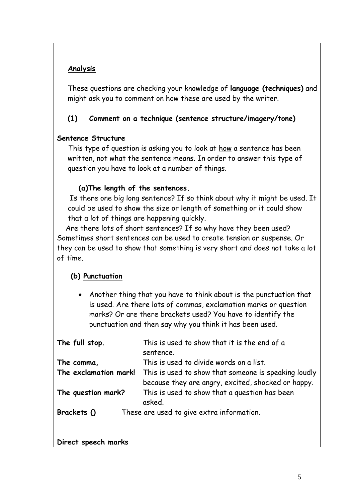### **Analysis**

These questions are checking your knowledge of **language (techniques)** and might ask you to comment on how these are used by the writer.

### **(1) Comment on a technique (sentence structure/imagery/tone)**

### **Sentence Structure**

This type of question is asking you to look at how a sentence has been written, not what the sentence means. In order to answer this type of question you have to look at a number of things.

### **(a)The length of the sentences.**

Is there one big long sentence? If so think about why it might be used. It could be used to show the size or length of something or it could show that a lot of things are happening quickly.

 Are there lots of short sentences? If so why have they been used? Sometimes short sentences can be used to create tension or suspense. Or they can be used to show that something is very short and does not take a lot of time.

### **(b) Punctuation**

• Another thing that you have to think about is the punctuation that is used. Are there lots of commas, exclamation marks or question marks? Or are there brackets used? You have to identify the punctuation and then say why you think it has been used.

| The full stop.        | This is used to show that it is the end of a                                                               |
|-----------------------|------------------------------------------------------------------------------------------------------------|
|                       | sentence.                                                                                                  |
| The comma,            | This is used to divide words on a list.                                                                    |
| The exclamation mark! | This is used to show that someone is speaking loudly<br>because they are angry, excited, shocked or happy. |
| The question mark?    | This is used to show that a question has been<br>asked.                                                    |
| Brackets ()           | These are used to give extra information.                                                                  |

**Direct speech marks**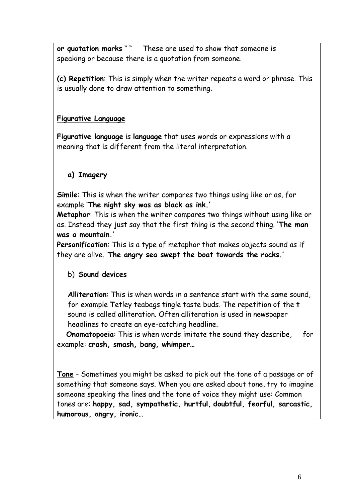**or quotation marks** " " These are used to show that someone is speaking or because there is a quotation from someone.

**(c) Repetition**: This is simply when the writer repeats a word or phrase. This is usually done to draw attention to something.

### **Figurative Language**

**Figurative language** is **language** that uses words or expressions with a meaning that is different from the literal interpretation.

### **a) Imagery**

**Simile**: This is when the writer compares two things using like or as, for example **'The night sky was as black as ink.'**

**Metaphor**: This is when the writer compares two things without using like or as. Instead they just say that the first thing is the second thing. **'The man was a mountain.'**

**Personification**: This is a type of metaphor that makes objects sound as if they are alive. '**The angry sea swept the boat towards the rocks.'**

### b) **Sound devices**

**Alliteration**: This is when words in a sentence start with the same sound, for example **T**etley **t**eabags **t**ingle **t**aste buds. The repetition of the **t** sound is called alliteration. Often alliteration is used in newspaper headlines to create an eye-catching headline.

 **Onomatopoeia**: This is when words imitate the sound they describe, for example: **crash, smash, bang, whimper…**

**Tone** – Sometimes you might be asked to pick out the tone of a passage or of something that someone says. When you are asked about tone, try to imagine someone speaking the lines and the tone of voice they might use: Common tones are: **happy, sad, sympathetic, hurtful, doubtful, fearful, sarcastic, humorous, angry, ironic…**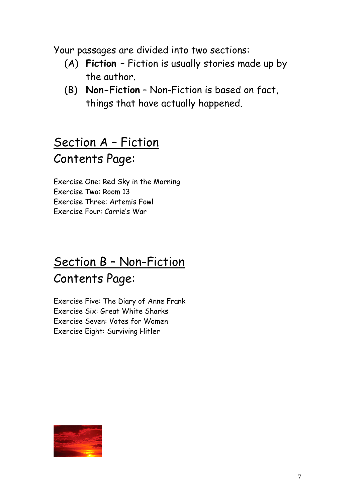Your passages are divided into two sections:

- (A) **Fiction**  Fiction is usually stories made up by the author.
- (B) **Non-Fiction** Non-Fiction is based on fact, things that have actually happened.

## Section A – Fiction Contents Page:

Exercise One: Red Sky in the Morning Exercise Two: Room 13 Exercise Three: Artemis Fowl Exercise Four: Carrie's War

# Section B – Non-Fiction Contents Page:

Exercise Five: The Diary of Anne Frank Exercise Six: Great White Sharks Exercise Seven: Votes for Women Exercise Eight: Surviving Hitler

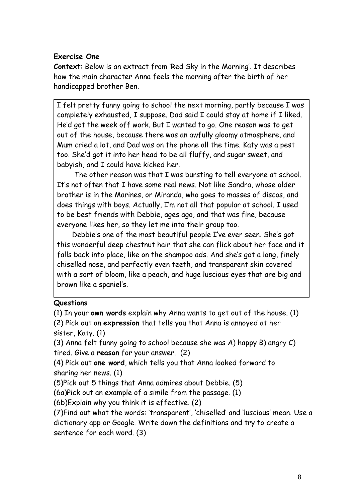### **Exercise One**

**Context**: Below is an extract from 'Red Sky in the Morning'. It describes how the main character Anna feels the morning after the birth of her handicapped brother Ben.

I felt pretty funny going to school the next morning, partly because I was completely exhausted, I suppose. Dad said I could stay at home if I liked. He'd got the week off work. But I wanted to go. One reason was to get out of the house, because there was an awfully gloomy atmosphere, and Mum cried a lot, and Dad was on the phone all the time. Katy was a pest too. She'd got it into her head to be all fluffy, and sugar sweet, and babyish, and I could have kicked her.

 The other reason was that I was bursting to tell everyone at school. It's not often that I have some real news. Not like Sandra, whose older brother is in the Marines, or Miranda, who goes to masses of discos, and does things with boys. Actually, I'm not all that popular at school. I used to be best friends with Debbie, ages ago, and that was fine, because everyone likes her, so they let me into their group too.

 Debbie's one of the most beautiful people I've ever seen. She's got this wonderful deep chestnut hair that she can flick about her face and it falls back into place, like on the shampoo ads. And she's got a long, finely chiselled nose, and perfectly even teeth, and transparent skin covered with a sort of bloom, like a peach, and huge luscious eyes that are big and brown like a spaniel's.

### **Questions**

(1) In your **own words** explain why Anna wants to get out of the house. (1) (2) Pick out an **expression** that tells you that Anna is annoyed at her sister, Katy. (1)

(3) Anna felt funny going to school because she was A) happy B) angry C) tired. Give a **reason** for your answer. (2)

(4) Pick out **one word**, which tells you that Anna looked forward to sharing her news. (1)

(5)Pick out 5 things that Anna admires about Debbie. (5)

(6a)Pick out an example of a simile from the passage. (1)

(6b)Explain why you think it is effective. (2)

(7)Find out what the words: 'transparent', 'chiselled' and 'luscious' mean. Use a dictionary app or Google. Write down the definitions and try to create a sentence for each word. (3)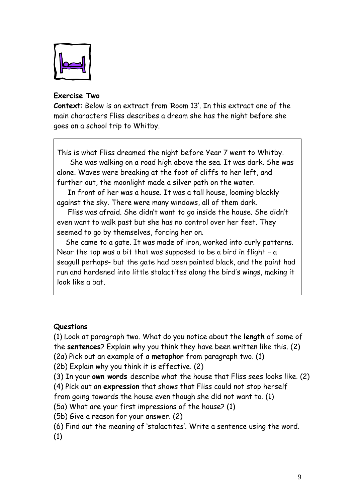

### **Exercise Two**

**Context**: Below is an extract from 'Room 13'. In this extract one of the main characters Fliss describes a dream she has the night before she goes on a school trip to Whitby.

This is what Fliss dreamed the night before Year 7 went to Whitby.

 She was walking on a road high above the sea. It was dark. She was alone. Waves were breaking at the foot of cliffs to her left, and further out, the moonlight made a silver path on the water.

 In front of her was a house. It was a tall house, looming blackly against the sky. There were many windows, all of them dark.

 Fliss was afraid. She didn't want to go inside the house. She didn't even want to walk past but she has no control over her feet. They seemed to go by themselves, forcing her on.

 She came to a gate. It was made of iron, worked into curly patterns. Near the top was a bit that was supposed to be a bird in flight – a seagull perhaps- but the gate had been painted black, and the paint had run and hardened into little stalactites along the bird's wings, making it look like a bat.

### **Questions**

(1) Look at paragraph two. What do you notice about the **length** of some of the **sentences**? Explain why you think they have been written like this. (2) (2a) Pick out an example of a **metaphor** from paragraph two. (1)

(2b) Explain why you think it is effective. (2)

(3) In your **own words** describe what the house that Fliss sees looks like. (2)

(4) Pick out an **expression** that shows that Fliss could not stop herself

from going towards the house even though she did not want to. (1)

- (5a) What are your first impressions of the house? (1)
- (5b) Give a reason for your answer. (2)
- (6) Find out the meaning of 'stalactites'. Write a sentence using the word. (1)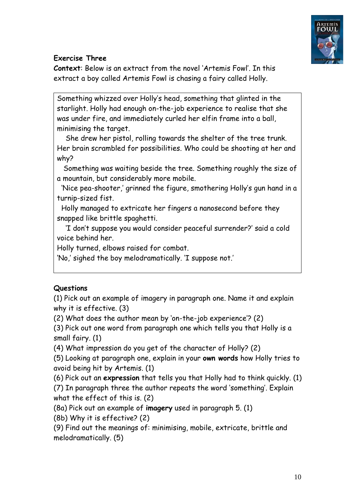

### **Exercise Three**

**Context**: Below is an extract from the novel 'Artemis Fowl'. In this extract a boy called Artemis Fowl is chasing a fairy called Holly.

Something whizzed over Holly's head, something that glinted in the starlight. Holly had enough on-the-job experience to realise that she was under fire, and immediately curled her elfin frame into a ball, minimising the target.

 She drew her pistol, rolling towards the shelter of the tree trunk. Her brain scrambled for possibilities. Who could be shooting at her and why?

 Something was waiting beside the tree. Something roughly the size of a mountain, but considerably more mobile.

 'Nice pea-shooter,' grinned the figure, smothering Holly's gun hand in a turnip-sized fist.

 Holly managed to extricate her fingers a nanosecond before they snapped like brittle spaghetti.

 'I don't suppose you would consider peaceful surrender?' said a cold voice behind her.

Holly turned, elbows raised for combat.

'No,' sighed the boy melodramatically. 'I suppose not.'

### **Questions**

(1) Pick out an example of imagery in paragraph one. Name it and explain why it is effective. (3)

(2) What does the author mean by 'on-the-job experience'? (2)

(3) Pick out one word from paragraph one which tells you that Holly is a small fairy. (1)

(4) What impression do you get of the character of Holly? (2)

(5) Looking at paragraph one, explain in your **own words** how Holly tries to avoid being hit by Artemis. (1)

(6) Pick out an **expression** that tells you that Holly had to think quickly. (1)

(7) In paragraph three the author repeats the word 'something'. Explain what the effect of this is. (2)

(8a) Pick out an example of **imagery** used in paragraph 5. (1)

(8b) Why it is effective? (2)

(9) Find out the meanings of: minimising, mobile, extricate, brittle and melodramatically. (5)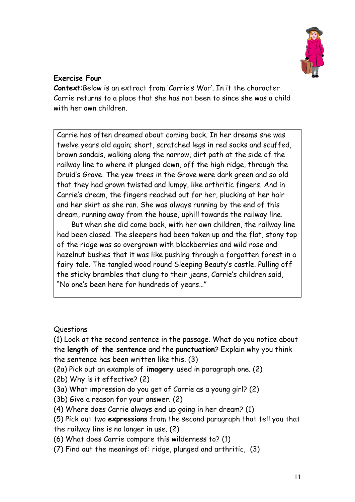

### **Exercise Four**

**Context**:Below is an extract from 'Carrie's War'. In it the character Carrie returns to a place that she has not been to since she was a child with her own children.

Carrie has often dreamed about coming back. In her dreams she was twelve years old again; short, scratched legs in red socks and scuffed, brown sandals, walking along the narrow, dirt path at the side of the railway line to where it plunged down, off the high ridge, through the Druid's Grove. The yew trees in the Grove were dark green and so old that they had grown twisted and lumpy, like arthritic fingers. And in Carrie's dream, the fingers reached out for her, plucking at her hair and her skirt as she ran. She was always running by the end of this dream, running away from the house, uphill towards the railway line.

 But when she did come back, with her own children, the railway line had been closed. The sleepers had been taken up and the flat, stony top of the ridge was so overgrown with blackberries and wild rose and hazelnut bushes that it was like pushing through a forgotten forest in a fairy tale. The tangled wood round Sleeping Beauty's castle. Pulling off the sticky brambles that clung to their jeans, Carrie's children said, "No one's been here for hundreds of years…"

**Questions** 

(1) Look at the second sentence in the passage. What do you notice about the **length of the sentence** and the **punctuation**? Explain why you think the sentence has been written like this. (3)

- (2a) Pick out an example of **imagery** used in paragraph one. (2)
- (2b) Why is it effective? (2)
- (3a) What impression do you get of Carrie as a young girl? (2)
- (3b) Give a reason for your answer. (2)
- (4) Where does Carrie always end up going in her dream? (1)
- (5) Pick out two **expressions** from the second paragraph that tell you that the railway line is no longer in use. (2)
- (6) What does Carrie compare this wilderness to? (1)
- (7) Find out the meanings of: ridge, plunged and arthritic, (3)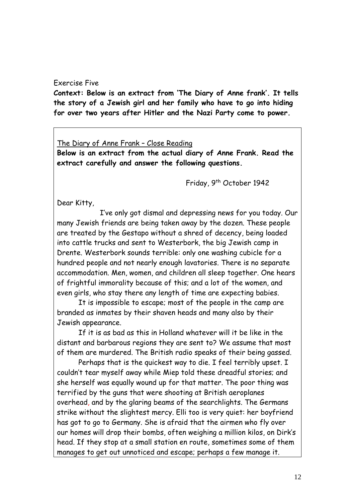### Exercise Five

**Context: Below is an extract from 'The Diary of Anne frank'. It tells the story of a Jewish girl and her family who have to go into hiding for over two years after Hitler and the Nazi Party come to power.**

### The Diary of Anne Frank – Close Reading

**Below is an extract from the actual diary of Anne Frank. Read the extract carefully and answer the following questions.**

Friday, 9<sup>th</sup> October 1942

Dear Kitty,

I've only got dismal and depressing news for you today. Our many Jewish friends are being taken away by the dozen. These people are treated by the Gestapo without a shred of decency, being loaded into cattle trucks and sent to Westerbork, the big Jewish camp in Drente. Westerbork sounds terrible: only one washing cubicle for a hundred people and not nearly enough lavatories. There is no separate accommodation. Men, women, and children all sleep together. One hears of frightful immorality because of this; and a lot of the women, and even girls, who stay there any length of time are expecting babies.

It is impossible to escape; most of the people in the camp are branded as inmates by their shaven heads and many also by their Jewish appearance.

If it is as bad as this in Holland whatever will it be like in the distant and barbarous regions they are sent to? We assume that most of them are murdered. The British radio speaks of their being gassed.

Perhaps that is the quickest way to die. I feel terribly upset. I couldn't tear myself away while Miep told these dreadful stories; and she herself was equally wound up for that matter. The poor thing was terrified by the guns that were shooting at British aeroplanes overhead, and by the glaring beams of the searchlights. The Germans strike without the slightest mercy. Elli too is very quiet: her boyfriend has got to go to Germany. She is afraid that the airmen who fly over our homes will drop their bombs, often weighing a million kilos, on Dirk's head. If they stop at a small station en route, sometimes some of them manages to get out unnoticed and escape; perhaps a few manage it.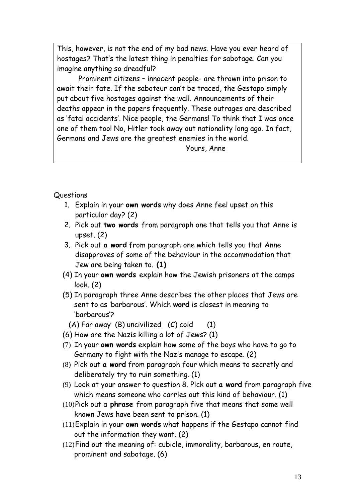This, however, is not the end of my bad news. Have you ever heard of hostages? That's the latest thing in penalties for sabotage. Can you imagine anything so dreadful?

Prominent citizens – innocent people- are thrown into prison to await their fate. If the saboteur can't be traced, the Gestapo simply put about five hostages against the wall. Announcements of their deaths appear in the papers frequently. These outrages are described as 'fatal accidents'. Nice people, the Germans! To think that I was once one of them too! No, Hitler took away out nationality long ago. In fact, Germans and Jews are the greatest enemies in the world.

Yours, Anne

Questions

- 1. Explain in your **own words** why does Anne feel upset on this particular day? (2)
- 2. Pick out **two words** from paragraph one that tells you that Anne is upset. (2)
- 3. Pick out **a word** from paragraph one which tells you that Anne disapproves of some of the behaviour in the accommodation that Jew are being taken to. **(1)**
- (4) In your **own words** explain how the Jewish prisoners at the camps look. (2)
- (5) In paragraph three Anne describes the other places that Jews are sent to as 'barbarous'. Which **word** is closest in meaning to 'barbarous'?
	- $(A)$  Far away  $(B)$  uncivilized  $(C)$  cold  $(1)$
- (6) How are the Nazis killing a lot of Jews? (1)
- (7) In your **own words** explain how some of the boys who have to go to Germany to fight with the Nazis manage to escape. (2)
- (8) Pick out **a word** from paragraph four which means to secretly and deliberately try to ruin something. (1)
- (9) Look at your answer to question 8. Pick out **a word** from paragraph five which means someone who carries out this kind of behaviour. (1)
- (10)Pick out a **phrase** from paragraph five that means that some well known Jews have been sent to prison. (1)
- (11)Explain in your **own words** what happens if the Gestapo cannot find out the information they want. (2)
- (12)Find out the meaning of: cubicle, immorality, barbarous, en route, prominent and sabotage. (6)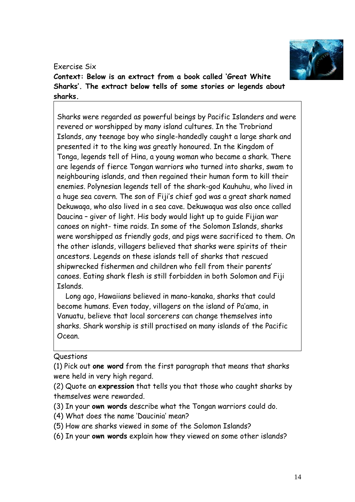

Exercise Six

**Context: Below is an extract from a book called 'Great White Sharks'. The extract below tells of some stories or legends about sharks.**

Sharks were regarded as powerful beings by Pacific Islanders and were revered or worshipped by many island cultures. In the Trobriand Islands, any teenage boy who single-handedly caught a large shark and presented it to the king was greatly honoured. In the Kingdom of Tonga, legends tell of Hina, a young woman who became a shark. There are legends of fierce Tongan warriors who turned into sharks, swam to neighbouring islands, and then regained their human form to kill their enemies. Polynesian legends tell of the shark-god Kauhuhu, who lived in a huge sea cavern. The son of Fiji's chief god was a great shark named Dekuwaqa, who also lived in a sea cave. Dekuwaqua was also once called Daucina – giver of light. His body would light up to guide Fijian war canoes on night- time raids. In some of the Solomon Islands, sharks were worshipped as friendly gods, and pigs were sacrificed to them. On the other islands, villagers believed that sharks were spirits of their ancestors. Legends on these islands tell of sharks that rescued shipwrecked fishermen and children who fell from their parents' canoes. Eating shark flesh is still forbidden in both Solomon and Fiji Islands.

 Long ago, Hawaiians believed in mano-kanaka, sharks that could become humans. Even today, villagers on the island of Pa'ama, in Vanuatu, believe that local sorcerers can change themselves into sharks. Shark worship is still practised on many islands of the Pacific Ocean.

Questions

(1) Pick out **one word** from the first paragraph that means that sharks were held in very high regard.

(2) Quote an **expression** that tells you that those who caught sharks by themselves were rewarded.

- (3) In your **own words** describe what the Tongan warriors could do.
- (4) What does the name 'Daucinia' mean?
- (5) How are sharks viewed in some of the Solomon Islands?
- (6) In your **own words** explain how they viewed on some other islands?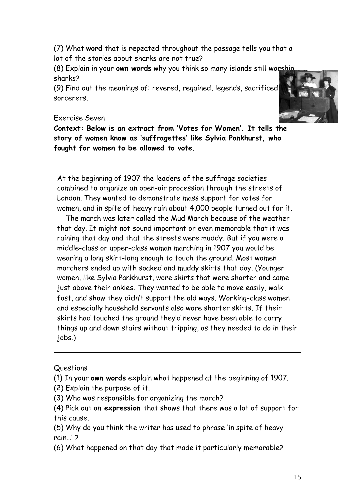(7) What **word** that is repeated throughout the passage tells you that a lot of the stories about sharks are not true?

(8) Explain in your **own words** why you think so many islands still worship sharks?

 $(9)$  Find out the meanings of: revered, regained, legends, sacrificed sorcerers.

#### Exercise Seven

**Context: Below is an extract from 'Votes for Women'. It tells the story of women know as 'suffragettes' like Sylvia Pankhurst, who fought for women to be allowed to vote.**

At the beginning of 1907 the leaders of the suffrage societies combined to organize an open-air procession through the streets of London. They wanted to demonstrate mass support for votes for women, and in spite of heavy rain about 4,000 people turned out for it.

 The march was later called the Mud March because of the weather that day. It might not sound important or even memorable that it was raining that day and that the streets were muddy. But if you were a middle-class or upper-class woman marching in 1907 you would be wearing a long skirt-long enough to touch the ground. Most women marchers ended up with soaked and muddy skirts that day. (Younger women, like Sylvia Pankhurst, wore skirts that were shorter and came just above their ankles. They wanted to be able to move easily, walk fast, and show they didn't support the old ways. Working-class women and especially household servants also wore shorter skirts. If their skirts had touched the ground they'd never have been able to carry things up and down stairs without tripping, as they needed to do in their jobs.)

#### Questions

(1) In your **own words** explain what happened at the beginning of 1907.

- (2) Explain the purpose of it.
- (3) Who was responsible for organizing the march?
- (4) Pick out an **expression** that shows that there was a lot of support for this cause.
- (5) Why do you think the writer has used to phrase 'in spite of heavy rain…' ?
- (6) What happened on that day that made it particularly memorable?



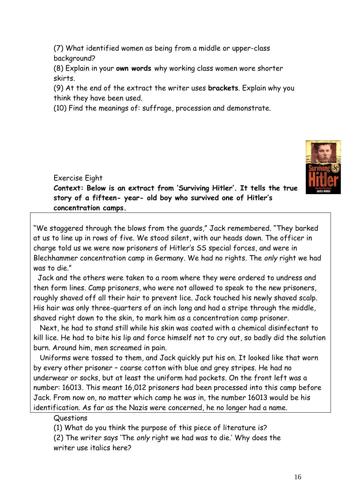(7) What identified women as being from a middle or upper-class background?

(8) Explain in your **own words** why working class women wore shorter skirts.

(9) At the end of the extract the writer uses **brackets**. Explain why you think they have been used.

(10) Find the meanings of: suffrage, procession and demonstrate.



Exercise Eight **Context: Below is an extract from 'Surviving Hitler'. It tells the true story of a fifteen- year- old boy who survived one of Hitler's concentration camps.**

"We staggered through the blows from the guards," Jack remembered. "They barked at us to line up in rows of five. We stood silent, with our heads down. The officer in charge told us we were now prisoners of Hitler's SS special forces, and were in Blechhammer concentration camp in Germany. We had no rights. The *only* right we had was to die."

 Jack and the others were taken to a room where they were ordered to undress and then form lines. Camp prisoners, who were not allowed to speak to the new prisoners, roughly shaved off all their hair to prevent lice. Jack touched his newly shaved scalp. His hair was only three-quarters of an inch long and had a stripe through the middle, shaved right down to the skin, to mark him as a concentration camp prisoner.

 Next, he had to stand still while his skin was coated with a chemical disinfectant to kill lice. He had to bite his lip and force himself not to cry out, so badly did the solution burn. Around him, men screamed in pain.

 Uniforms were tossed to them, and Jack quickly put his on. It looked like that worn by every other prisoner – coarse cotton with blue and grey stripes. He had no underwear or socks, but at least the uniform had pockets. On the front left was a number: 16013. This meant 16,012 prisoners had been processed into this camp before Jack. From now on, no matter which camp he was in, the number 16013 would be his identification. As far as the Nazis were concerned, he no longer had a name.

### Questions

(1) What do you think the purpose of this piece of literature is?

(2) The writer says 'The *only* right we had was to die.' Why does the writer use italics here?